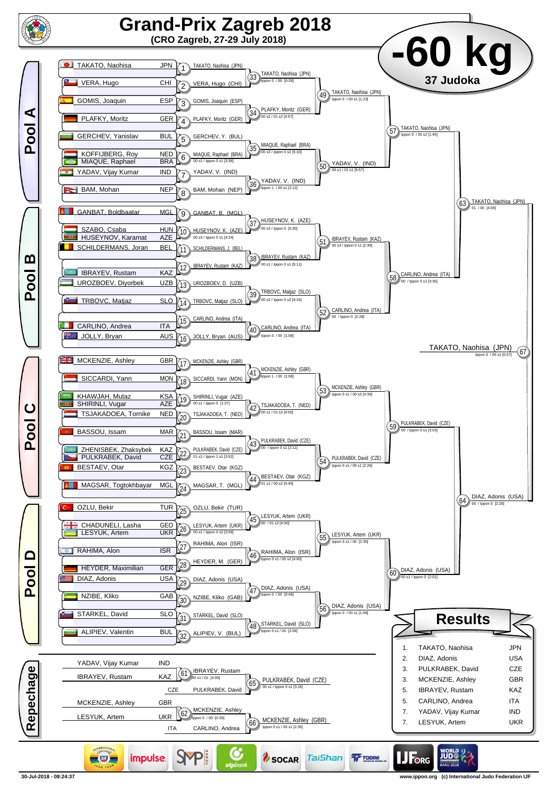

**<sup>30-</sup>Jul-2018 - 08:24:37 www.ippon.org (c) International Judo Federation IJF**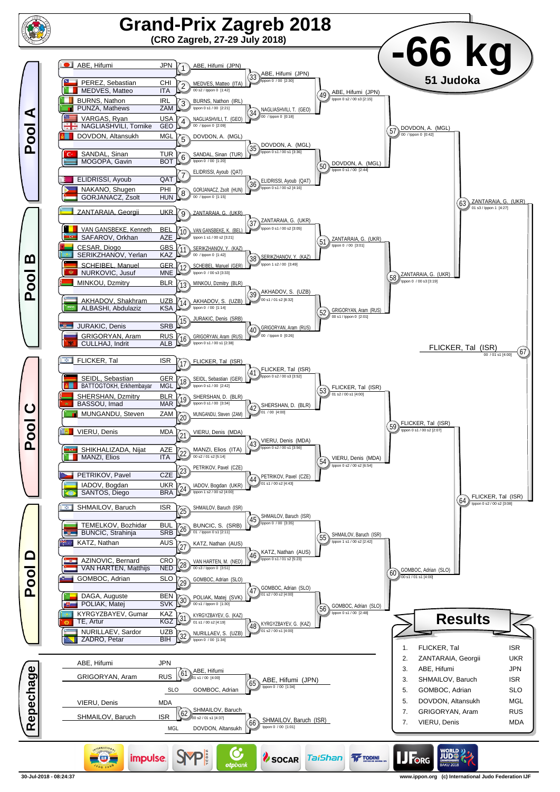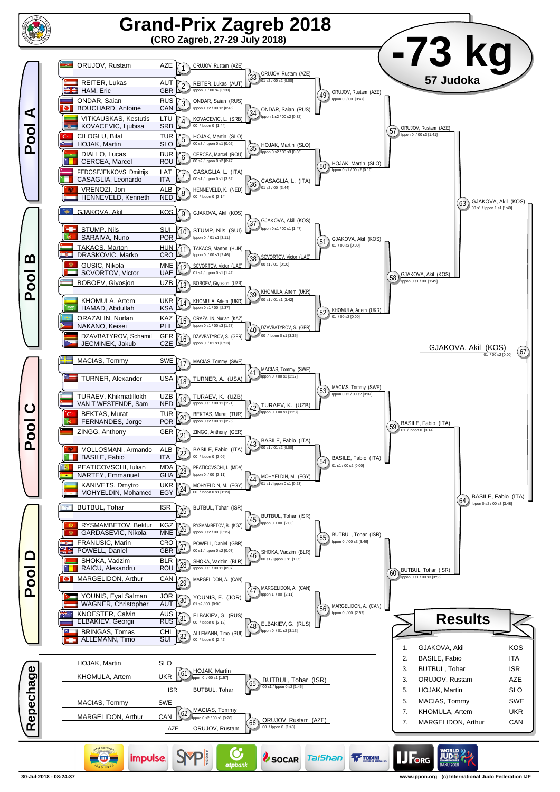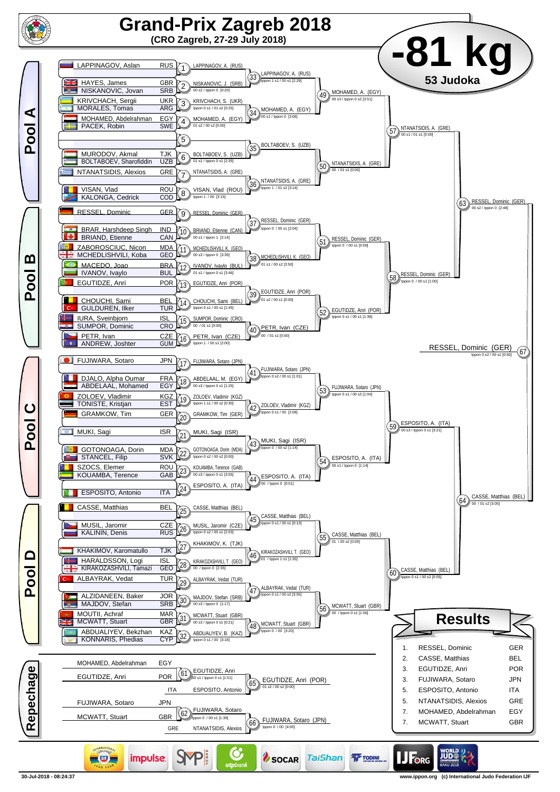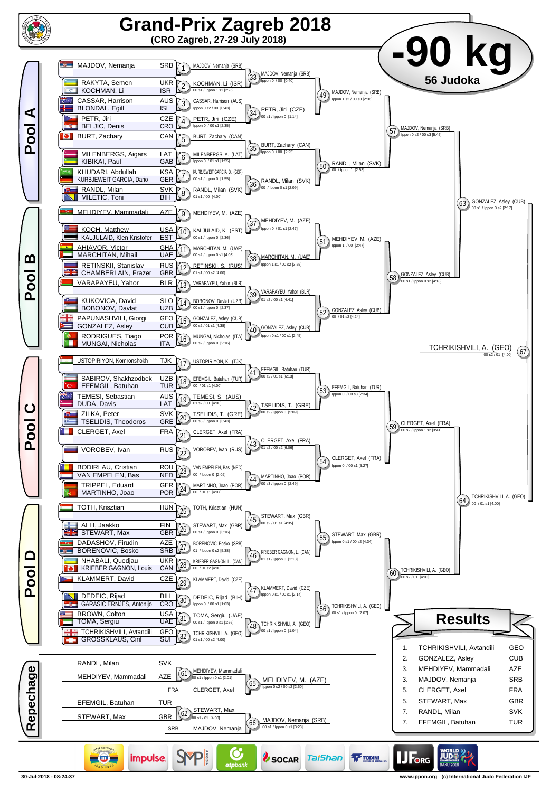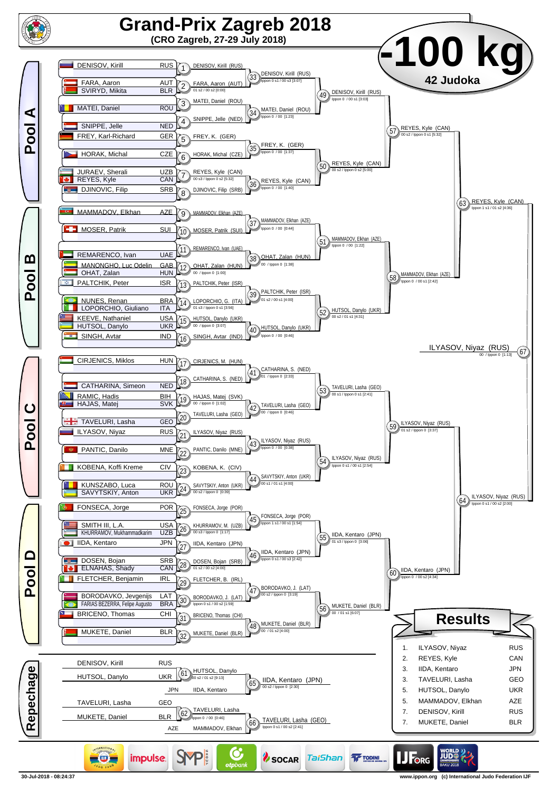